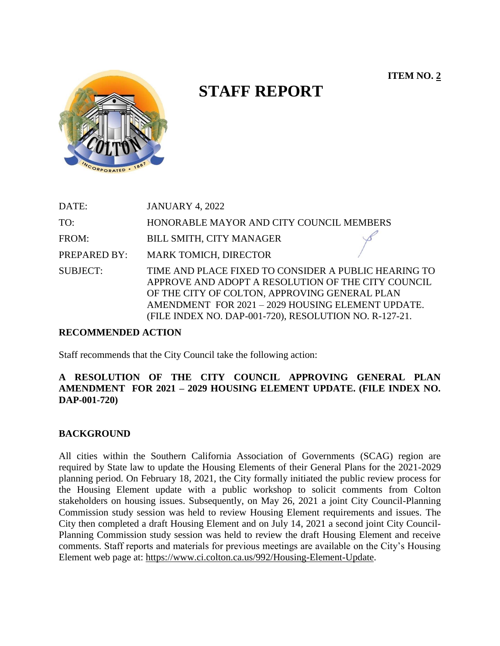**ITEM NO. 2**



# **STAFF REPORT**

| DATE:           | <b>JANUARY 4, 2022</b>                                                                                                                                                                                                                                                     |
|-----------------|----------------------------------------------------------------------------------------------------------------------------------------------------------------------------------------------------------------------------------------------------------------------------|
| TO:             | HONORABLE MAYOR AND CITY COUNCIL MEMBERS                                                                                                                                                                                                                                   |
| FROM:           | BILL SMITH, CITY MANAGER                                                                                                                                                                                                                                                   |
| PREPARED BY:    | <b>MARK TOMICH, DIRECTOR</b>                                                                                                                                                                                                                                               |
| <b>SUBJECT:</b> | TIME AND PLACE FIXED TO CONSIDER A PUBLIC HEARING TO<br>APPROVE AND ADOPT A RESOLUTION OF THE CITY COUNCIL<br>OF THE CITY OF COLTON, APPROVING GENERAL PLAN<br>AMENDMENT FOR 2021 - 2029 HOUSING ELEMENT UPDATE.<br>(FILE INDEX NO. DAP-001-720), RESOLUTION NO. R-127-21. |

#### **RECOMMENDED ACTION**

Staff recommends that the City Council take the following action:

### **A RESOLUTION OF THE CITY COUNCIL APPROVING GENERAL PLAN AMENDMENT FOR 2021 – 2029 HOUSING ELEMENT UPDATE. (FILE INDEX NO. DAP-001-720)**

#### **BACKGROUND**

All cities within the Southern California Association of Governments (SCAG) region are required by State law to update the Housing Elements of their General Plans for the 2021-2029 planning period. On February 18, 2021, the City formally initiated the public review process for the Housing Element update with a public workshop to solicit comments from Colton stakeholders on housing issues. Subsequently, on May 26, 2021 a joint City Council-Planning Commission study session was held to review Housing Element requirements and issues. The City then completed a draft Housing Element and on July 14, 2021 a second joint City Council-Planning Commission study session was held to review the draft Housing Element and receive comments. Staff reports and materials for previous meetings are available on the City's Housing Element web page at: [https://www.ci.colton.ca.us/992/Housing-Element-Update.](https://www.ci.colton.ca.us/992/Housing-Element-Update)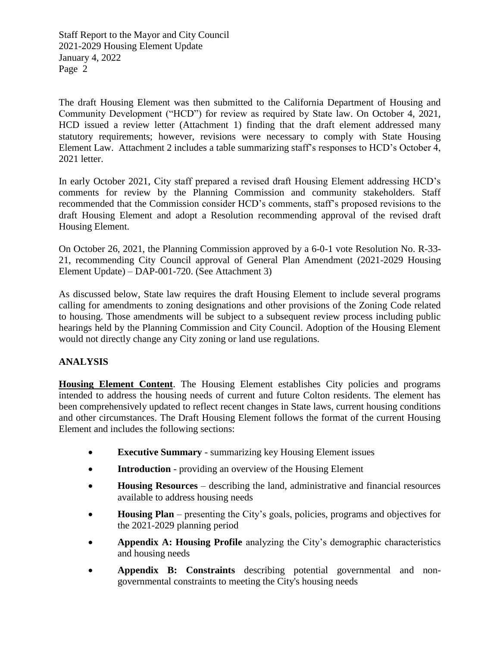The draft Housing Element was then submitted to the California Department of Housing and Community Development ("HCD") for review as required by State law. On October 4, 2021, HCD issued a review letter (Attachment 1) finding that the draft element addressed many statutory requirements; however, revisions were necessary to comply with State Housing Element Law. Attachment 2 includes a table summarizing staff's responses to HCD's October 4, 2021 letter.

In early October 2021, City staff prepared a revised draft Housing Element addressing HCD's comments for review by the Planning Commission and community stakeholders. Staff recommended that the Commission consider HCD's comments, staff's proposed revisions to the draft Housing Element and adopt a Resolution recommending approval of the revised draft Housing Element.

On October 26, 2021, the Planning Commission approved by a 6-0-1 vote Resolution No. R-33- 21, recommending City Council approval of General Plan Amendment (2021-2029 Housing Element Update) – DAP-001-720. (See Attachment 3)

As discussed below, State law requires the draft Housing Element to include several programs calling for amendments to zoning designations and other provisions of the Zoning Code related to housing. Those amendments will be subject to a subsequent review process including public hearings held by the Planning Commission and City Council. Adoption of the Housing Element would not directly change any City zoning or land use regulations.

## **ANALYSIS**

**Housing Element Content**. The Housing Element establishes City policies and programs intended to address the housing needs of current and future Colton residents. The element has been comprehensively updated to reflect recent changes in State laws, current housing conditions and other circumstances. The Draft Housing Element follows the format of the current Housing Element and includes the following sections:

- **Executive Summary** summarizing key Housing Element issues
- **Introduction** providing an overview of the Housing Element
- **Housing Resources** describing the land, administrative and financial resources available to address housing needs
- **Housing Plan** presenting the City's goals, policies, programs and objectives for the 2021-2029 planning period
- **Appendix A: Housing Profile** analyzing the City's demographic characteristics and housing needs
- **Appendix B: Constraints** describing potential governmental and nongovernmental constraints to meeting the City's housing needs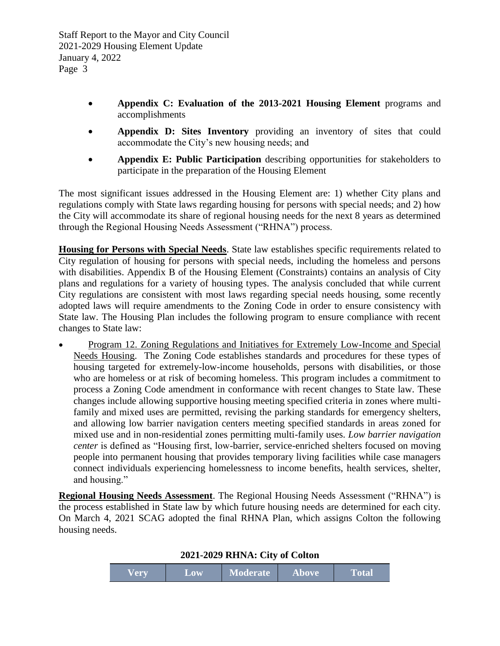- **Appendix C: Evaluation of the 2013-2021 Housing Element** programs and accomplishments
- **Appendix D: Sites Inventory** providing an inventory of sites that could accommodate the City's new housing needs; and
- **Appendix E: Public Participation** describing opportunities for stakeholders to participate in the preparation of the Housing Element

The most significant issues addressed in the Housing Element are: 1) whether City plans and regulations comply with State laws regarding housing for persons with special needs; and 2) how the City will accommodate its share of regional housing needs for the next 8 years as determined through the Regional Housing Needs Assessment ("RHNA") process.

**Housing for Persons with Special Needs**. State law establishes specific requirements related to City regulation of housing for persons with special needs, including the homeless and persons with disabilities. Appendix B of the Housing Element (Constraints) contains an analysis of City plans and regulations for a variety of housing types. The analysis concluded that while current City regulations are consistent with most laws regarding special needs housing, some recently adopted laws will require amendments to the Zoning Code in order to ensure consistency with State law. The Housing Plan includes the following program to ensure compliance with recent changes to State law:

 Program 12. Zoning Regulations and Initiatives for Extremely Low-Income and Special Needs Housing. The Zoning Code establishes standards and procedures for these types of housing targeted for extremely-low-income households, persons with disabilities, or those who are homeless or at risk of becoming homeless. This program includes a commitment to process a Zoning Code amendment in conformance with recent changes to State law. These changes include allowing supportive housing meeting specified criteria in zones where multifamily and mixed uses are permitted, revising the parking standards for emergency shelters, and allowing low barrier navigation centers meeting specified standards in areas zoned for mixed use and in non-residential zones permitting multi-family uses. *Low barrier navigation center* is defined as "Housing first, low-barrier, service-enriched shelters focused on moving people into permanent housing that provides temporary living facilities while case managers connect individuals experiencing homelessness to income benefits, health services, shelter, and housing."

**Regional Housing Needs Assessment**. The Regional Housing Needs Assessment ("RHNA") is the process established in State law by which future housing needs are determined for each city. On March 4, 2021 SCAG adopted the final RHNA Plan, which assigns Colton the following housing needs.

| Verv | LOW | <b>Moderate</b> | <b>Above</b> | <b>Total</b> |  |  |
|------|-----|-----------------|--------------|--------------|--|--|

#### **2021-2029 RHNA: City of Colton**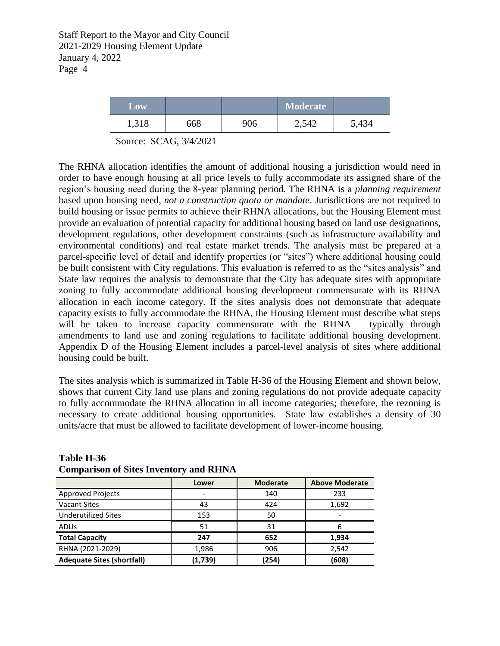| <b>LOW</b> |     |     | <b>Moderate</b> |       |
|------------|-----|-----|-----------------|-------|
| 1,318      | 668 | 906 | 2,542           | 5,434 |

Source: SCAG, 3/4/2021

The RHNA allocation identifies the amount of additional housing a jurisdiction would need in order to have enough housing at all price levels to fully accommodate its assigned share of the region's housing need during the 8-year planning period. The RHNA is a *planning requirement* based upon housing need, *not a construction quota or mandate*. Jurisdictions are not required to build housing or issue permits to achieve their RHNA allocations, but the Housing Element must provide an evaluation of potential capacity for additional housing based on land use designations, development regulations, other development constraints (such as infrastructure availability and environmental conditions) and real estate market trends. The analysis must be prepared at a parcel-specific level of detail and identify properties (or "sites") where additional housing could be built consistent with City regulations. This evaluation is referred to as the "sites analysis" and State law requires the analysis to demonstrate that the City has adequate sites with appropriate zoning to fully accommodate additional housing development commensurate with its RHNA allocation in each income category. If the sites analysis does not demonstrate that adequate capacity exists to fully accommodate the RHNA, the Housing Element must describe what steps will be taken to increase capacity commensurate with the RHNA – typically through amendments to land use and zoning regulations to facilitate additional housing development. Appendix D of the Housing Element includes a parcel-level analysis of sites where additional housing could be built.

The sites analysis which is summarized in Table H-36 of the Housing Element and shown below, shows that current City land use plans and zoning regulations do not provide adequate capacity to fully accommodate the RHNA allocation in all income categories; therefore, the rezoning is necessary to create additional housing opportunities. State law establishes a density of 30 units/acre that must be allowed to facilitate development of lower-income housing.

|                                   | Lower   | <b>Moderate</b> | <b>Above Moderate</b> |
|-----------------------------------|---------|-----------------|-----------------------|
| <b>Approved Projects</b>          |         | 140             | 233                   |
| <b>Vacant Sites</b>               | 43      | 424             | 1,692                 |
| <b>Underutilized Sites</b>        | 153     | 50              |                       |
| ADUS                              | 51      | 31              | n                     |
| <b>Total Capacity</b>             | 247     | 652             | 1,934                 |
| RHNA (2021-2029)                  | 1,986   | 906             | 2,542                 |
| <b>Adequate Sites (shortfall)</b> | (1,739) | (254)           | (608)                 |

#### **Table H-36 Comparison of Sites Inventory and RHNA**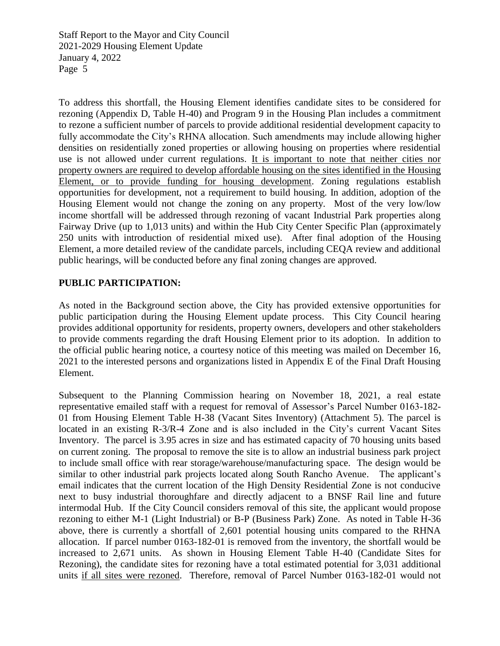To address this shortfall, the Housing Element identifies candidate sites to be considered for rezoning (Appendix D, Table H-40) and Program 9 in the Housing Plan includes a commitment to rezone a sufficient number of parcels to provide additional residential development capacity to fully accommodate the City's RHNA allocation. Such amendments may include allowing higher densities on residentially zoned properties or allowing housing on properties where residential use is not allowed under current regulations. It is important to note that neither cities nor property owners are required to develop affordable housing on the sites identified in the Housing Element, or to provide funding for housing development. Zoning regulations establish opportunities for development, not a requirement to build housing. In addition, adoption of the Housing Element would not change the zoning on any property. Most of the very low/low income shortfall will be addressed through rezoning of vacant Industrial Park properties along Fairway Drive (up to 1,013 units) and within the Hub City Center Specific Plan (approximately 250 units with introduction of residential mixed use). After final adoption of the Housing Element, a more detailed review of the candidate parcels, including CEQA review and additional public hearings, will be conducted before any final zoning changes are approved.

## **PUBLIC PARTICIPATION:**

As noted in the Background section above, the City has provided extensive opportunities for public participation during the Housing Element update process. This City Council hearing provides additional opportunity for residents, property owners, developers and other stakeholders to provide comments regarding the draft Housing Element prior to its adoption. In addition to the official public hearing notice, a courtesy notice of this meeting was mailed on December 16, 2021 to the interested persons and organizations listed in Appendix E of the Final Draft Housing Element.

Subsequent to the Planning Commission hearing on November 18, 2021, a real estate representative emailed staff with a request for removal of Assessor's Parcel Number 0163-182- 01 from Housing Element Table H-38 (Vacant Sites Inventory) (Attachment 5). The parcel is located in an existing R-3/R-4 Zone and is also included in the City's current Vacant Sites Inventory. The parcel is 3.95 acres in size and has estimated capacity of 70 housing units based on current zoning. The proposal to remove the site is to allow an industrial business park project to include small office with rear storage/warehouse/manufacturing space. The design would be similar to other industrial park projects located along South Rancho Avenue. The applicant's email indicates that the current location of the High Density Residential Zone is not conducive next to busy industrial thoroughfare and directly adjacent to a BNSF Rail line and future intermodal Hub. If the City Council considers removal of this site, the applicant would propose rezoning to either M-1 (Light Industrial) or B-P (Business Park) Zone. As noted in Table H-36 above, there is currently a shortfall of 2,601 potential housing units compared to the RHNA allocation. If parcel number 0163-182-01 is removed from the inventory, the shortfall would be increased to 2,671 units. As shown in Housing Element Table H-40 (Candidate Sites for Rezoning), the candidate sites for rezoning have a total estimated potential for 3,031 additional units if all sites were rezoned. Therefore, removal of Parcel Number 0163-182-01 would not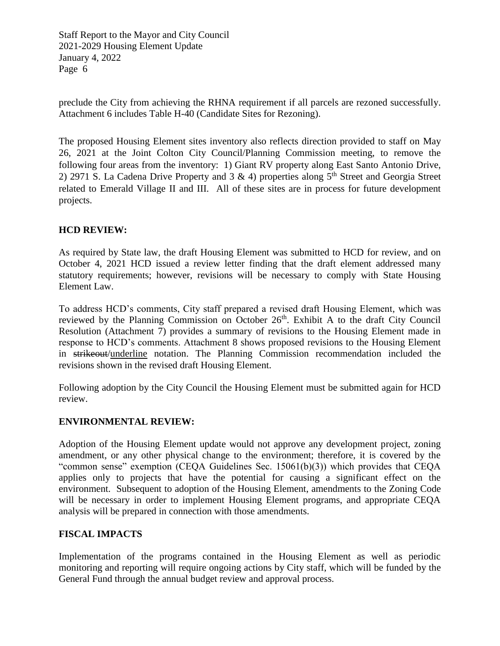preclude the City from achieving the RHNA requirement if all parcels are rezoned successfully. Attachment 6 includes Table H-40 (Candidate Sites for Rezoning).

The proposed Housing Element sites inventory also reflects direction provided to staff on May 26, 2021 at the Joint Colton City Council/Planning Commission meeting, to remove the following four areas from the inventory: 1) Giant RV property along East Santo Antonio Drive, 2) 2971 S. La Cadena Drive Property and 3 & 4) properties along  $5<sup>th</sup>$  Street and Georgia Street related to Emerald Village II and III. All of these sites are in process for future development projects.

## **HCD REVIEW:**

As required by State law, the draft Housing Element was submitted to HCD for review, and on October 4, 2021 HCD issued a review letter finding that the draft element addressed many statutory requirements; however, revisions will be necessary to comply with State Housing Element Law.

To address HCD's comments, City staff prepared a revised draft Housing Element, which was reviewed by the Planning Commission on October  $26<sup>th</sup>$ . Exhibit A to the draft City Council Resolution (Attachment 7) provides a summary of revisions to the Housing Element made in response to HCD's comments. Attachment 8 shows proposed revisions to the Housing Element in strikeout/underline notation. The Planning Commission recommendation included the revisions shown in the revised draft Housing Element.

Following adoption by the City Council the Housing Element must be submitted again for HCD review.

#### **ENVIRONMENTAL REVIEW:**

Adoption of the Housing Element update would not approve any development project, zoning amendment, or any other physical change to the environment; therefore, it is covered by the "common sense" exemption (CEQA Guidelines Sec. 15061(b)(3)) which provides that CEQA applies only to projects that have the potential for causing a significant effect on the environment. Subsequent to adoption of the Housing Element, amendments to the Zoning Code will be necessary in order to implement Housing Element programs, and appropriate CEQA analysis will be prepared in connection with those amendments.

## **FISCAL IMPACTS**

Implementation of the programs contained in the Housing Element as well as periodic monitoring and reporting will require ongoing actions by City staff, which will be funded by the General Fund through the annual budget review and approval process.